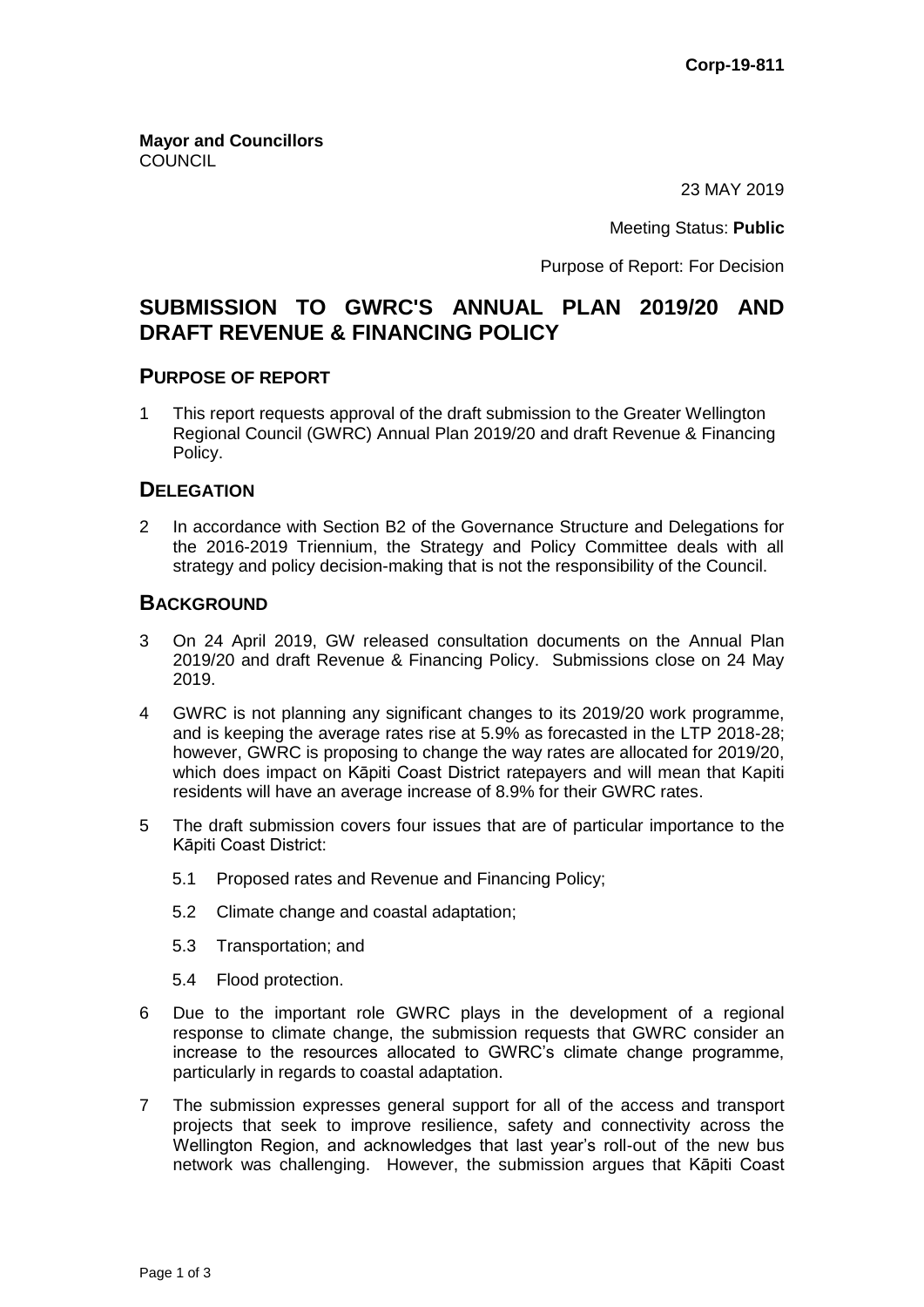**Mayor and Councillors COUNCIL** 

23 MAY 2019

Meeting Status: **Public**

Purpose of Report: For Decision

# **SUBMISSION TO GWRC'S ANNUAL PLAN 2019/20 AND DRAFT REVENUE & FINANCING POLICY**

#### **PURPOSE OF REPORT**

1 This report requests approval of the draft submission to the Greater Wellington Regional Council (GWRC) Annual Plan 2019/20 and draft Revenue & Financing Policy.

# **DELEGATION**

2 In accordance with Section B2 of the Governance Structure and Delegations for the 2016-2019 Triennium, the Strategy and Policy Committee deals with all strategy and policy decision-making that is not the responsibility of the Council.

### **BACKGROUND**

- 3 On 24 April 2019, GW released consultation documents on the Annual Plan 2019/20 and draft Revenue & Financing Policy. Submissions close on 24 May 2019.
- 4 GWRC is not planning any significant changes to its 2019/20 work programme, and is keeping the average rates rise at 5.9% as forecasted in the LTP 2018-28; however, GWRC is proposing to change the way rates are allocated for 2019/20, which does impact on Kāpiti Coast District ratepayers and will mean that Kapiti residents will have an average increase of 8.9% for their GWRC rates.
- 5 The draft submission covers four issues that are of particular importance to the Kāpiti Coast District:
	- 5.1 Proposed rates and Revenue and Financing Policy;
	- 5.2 Climate change and coastal adaptation;
	- 5.3 Transportation; and
	- 5.4 Flood protection.
- 6 Due to the important role GWRC plays in the development of a regional response to climate change, the submission requests that GWRC consider an increase to the resources allocated to GWRC's climate change programme, particularly in regards to coastal adaptation.
- 7 The submission expresses general support for all of the access and transport projects that seek to improve resilience, safety and connectivity across the Wellington Region, and acknowledges that last year's roll-out of the new bus network was challenging. However, the submission argues that Kāpiti Coast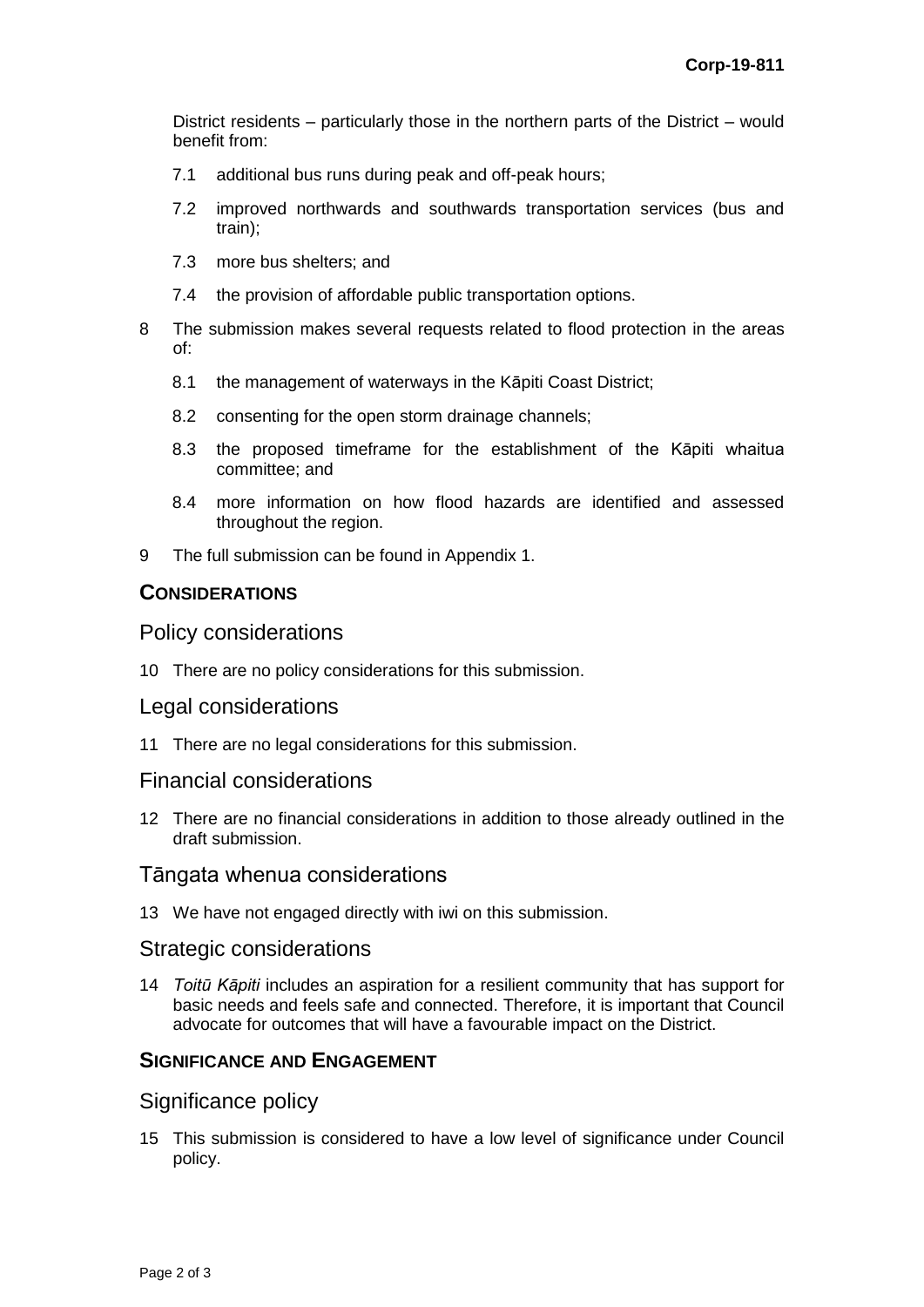District residents – particularly those in the northern parts of the District – would benefit from:

- 7.1 additional bus runs during peak and off-peak hours;
- 7.2 improved northwards and southwards transportation services (bus and train);
- 7.3 more bus shelters; and
- 7.4 the provision of affordable public transportation options.
- 8 The submission makes several requests related to flood protection in the areas of:
	- 8.1 the management of waterways in the Kāpiti Coast District;
	- 8.2 consenting for the open storm drainage channels;
	- 8.3 the proposed timeframe for the establishment of the Kāpiti whaitua committee; and
	- 8.4 more information on how flood hazards are identified and assessed throughout the region.
- 9 The full submission can be found in Appendix 1.

### **CONSIDERATIONS**

#### Policy considerations

10 There are no policy considerations for this submission.

#### Legal considerations

11 There are no legal considerations for this submission.

#### Financial considerations

12 There are no financial considerations in addition to those already outlined in the draft submission.

#### Tāngata whenua considerations

13 We have not engaged directly with iwi on this submission.

#### Strategic considerations

14 *Toitū Kāpiti* includes an aspiration for a resilient community that has support for basic needs and feels safe and connected. Therefore, it is important that Council advocate for outcomes that will have a favourable impact on the District.

# **SIGNIFICANCE AND ENGAGEMENT**

# Significance policy

15 This submission is considered to have a low level of significance under Council policy.